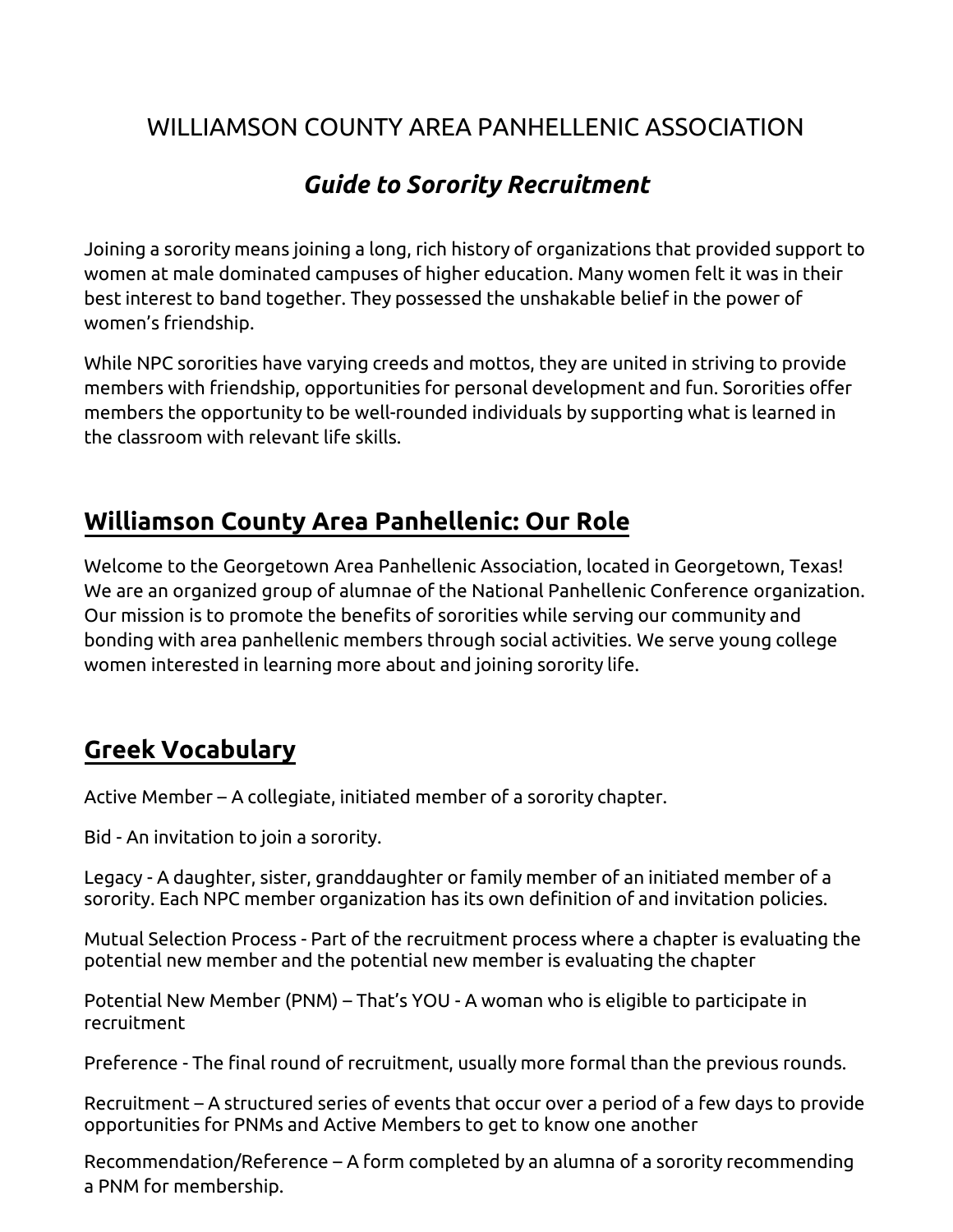## WILLIAMSON COUNTY AREA PANHELLENIC ASSOCIATION

# *Guide to Sorority Recruitment*

Joining a sorority means joining a long, rich history of organizations that provided support to women at male dominated campuses of higher education. Many women felt it was in their best interest to band together. They possessed the unshakable belief in the power of women's friendship.

While NPC sororities have varying creeds and mottos, they are united in striving to provide members with friendship, opportunities for personal development and fun. Sororities offer members the opportunity to be well-rounded individuals by supporting what is learned in the classroom with relevant life skills.

## **Williamson County Area Panhellenic: Our Role**

Welcome to the Georgetown Area Panhellenic Association, located in Georgetown, Texas! We are an organized group of alumnae of the National Panhellenic Conference organization. Our mission is to promote the benefits of sororities while serving our community and bonding with area panhellenic members through social activities. We serve young college women interested in learning more about and joining sorority life.

# **Greek Vocabulary**

Active Member – A collegiate, initiated member of a sorority chapter.

Bid - An invitation to join a sorority.

Legacy - A daughter, sister, granddaughter or family member of an initiated member of a sorority. Each NPC member organization has its own definition of and invitation policies.

Mutual Selection Process - Part of the recruitment process where a chapter is evaluating the potential new member and the potential new member is evaluating the chapter

Potential New Member (PNM) – That's YOU - A woman who is eligible to participate in recruitment

Preference - The final round of recruitment, usually more formal than the previous rounds.

Recruitment – A structured series of events that occur over a period of a few days to provide opportunities for PNMs and Active Members to get to know one another

Recommendation/Reference – A form completed by an alumna of a sorority recommending a PNM for membership.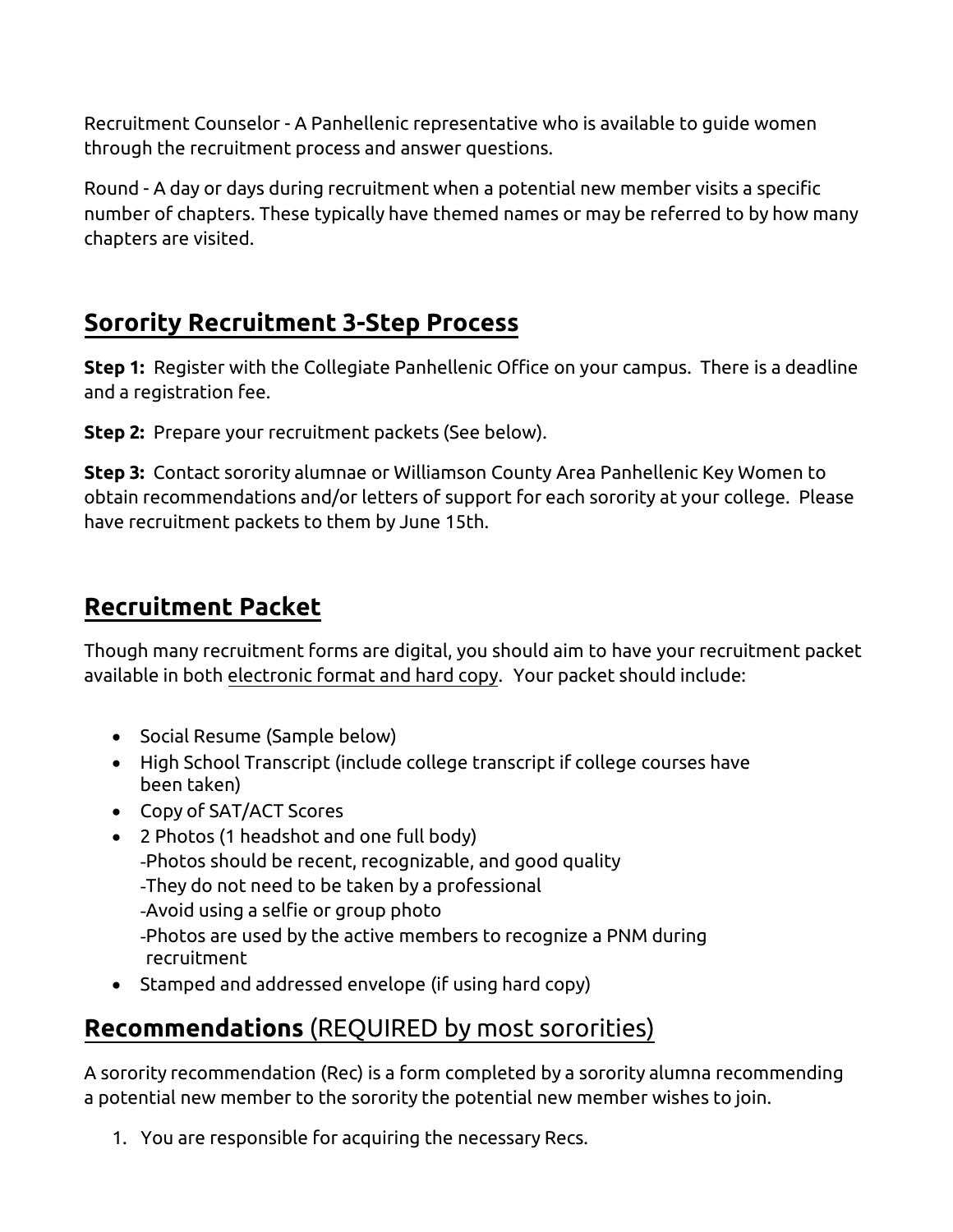Recruitment Counselor - A Panhellenic representative who is available to guide women through the recruitment process and answer questions.

Round - A day or days during recruitment when a potential new member visits a specific number of chapters. These typically have themed names or may be referred to by how many chapters are visited.

## **Sorority Recruitment 3-Step Process**

**Step 1:** Register with the Collegiate Panhellenic Office on your campus. There is a deadline and a registration fee.

**Step 2:** Prepare your recruitment packets (See below).

**Step 3:** Contact sorority alumnae or Williamson County Area Panhellenic Key Women to obtain recommendations and/or letters of support for each sorority at your college. Please have recruitment packets to them by June 15th.

# **Recruitment Packet**

Though many recruitment forms are digital, you should aim to have your recruitment packet available in both electronic format and hard copy. Your packet should include:

- Social Resume (Sample below)
- High School Transcript (include college transcript if college courses have been taken)
- Copy of SAT/ACT Scores
- 2 Photos (1 headshot and one full body) -Photos should be recent, recognizable, and good quality -They do not need to be taken by a professional -Avoid using a selfie or group photo -Photos are used by the active members to recognize a PNM during recruitment
- Stamped and addressed envelope (if using hard copy)

# **Recommendations** (REQUIRED by most sororities)

A sorority recommendation (Rec) is a form completed by a sorority alumna recommending a potential new member to the sorority the potential new member wishes to join.

1. You are responsible for acquiring the necessary Recs.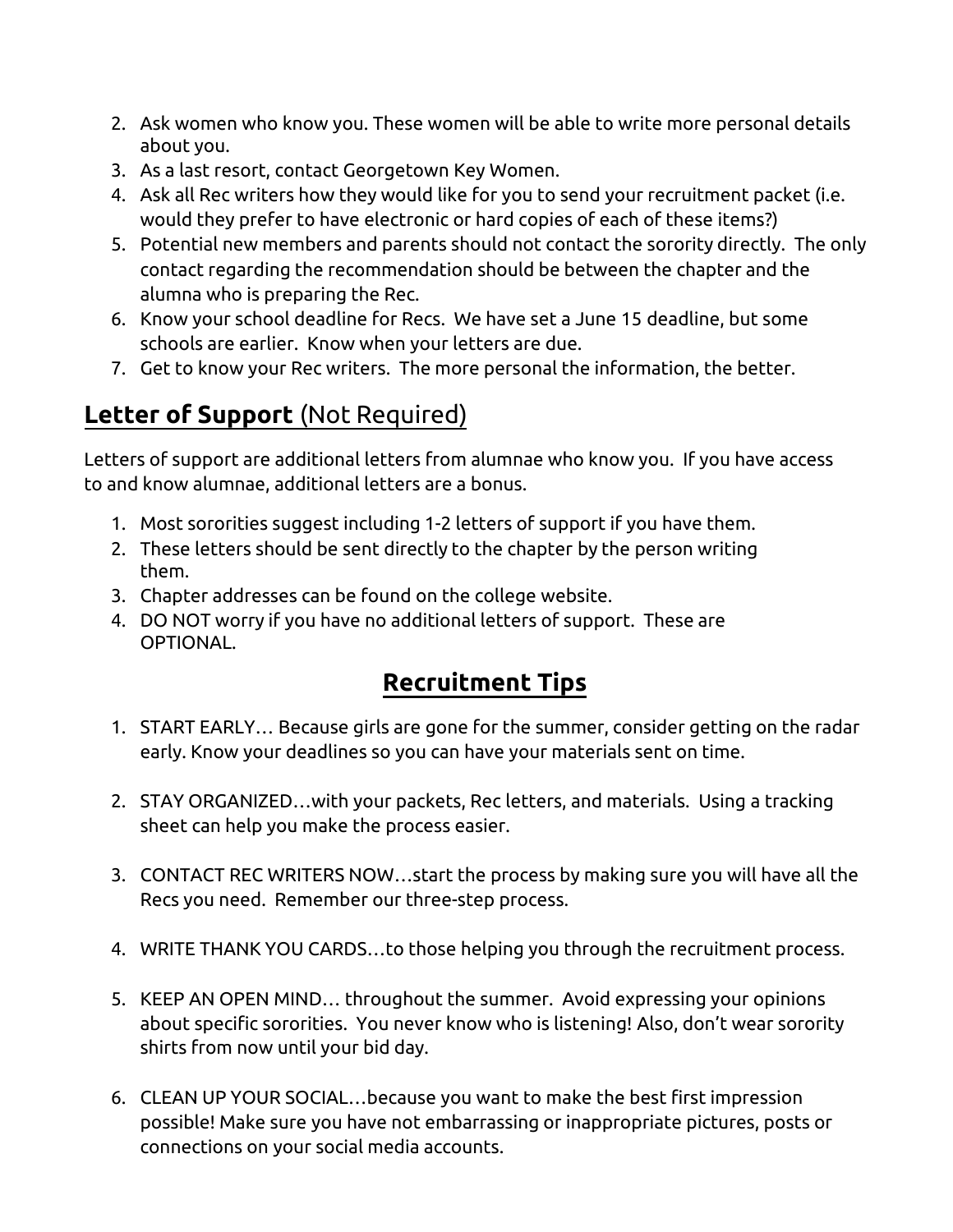- 2. Ask women who know you. These women will be able to write more personal details about you.
- 3. As a last resort, contact Georgetown Key Women.
- 4. Ask all Rec writers how they would like for you to send your recruitment packet (i.e. would they prefer to have electronic or hard copies of each of these items?)
- 5. Potential new members and parents should not contact the sorority directly. The only contact regarding the recommendation should be between the chapter and the alumna who is preparing the Rec.
- 6. Know your school deadline for Recs. We have set a June 15 deadline, but some schools are earlier. Know when your letters are due.
- 7. Get to know your Rec writers. The more personal the information, the better.

## **Letter of Support** (Not Required)

Letters of support are additional letters from alumnae who know you. If you have access to and know alumnae, additional letters are a bonus.

- 1. Most sororities suggest including 1-2 letters of support if you have them.
- 2. These letters should be sent directly to the chapter by the person writing them.
- 3. Chapter addresses can be found on the college website.
- 4. DO NOT worry if you have no additional letters of support. These are OPTIONAL.

# **Recruitment Tips**

- 1. START EARLY… Because girls are gone for the summer, consider getting on the radar early. Know your deadlines so you can have your materials sent on time.
- 2. STAY ORGANIZED…with your packets, Rec letters, and materials. Using a tracking sheet can help you make the process easier.
- 3. CONTACT REC WRITERS NOW…start the process by making sure you will have all the Recs you need. Remember our three-step process.
- 4. WRITE THANK YOU CARDS…to those helping you through the recruitment process.
- 5. KEEP AN OPEN MIND… throughout the summer. Avoid expressing your opinions about specific sororities. You never know who is listening! Also, don't wear sorority shirts from now until your bid day.
- 6. CLEAN UP YOUR SOCIAL…because you want to make the best first impression possible! Make sure you have not embarrassing or inappropriate pictures, posts or connections on your social media accounts.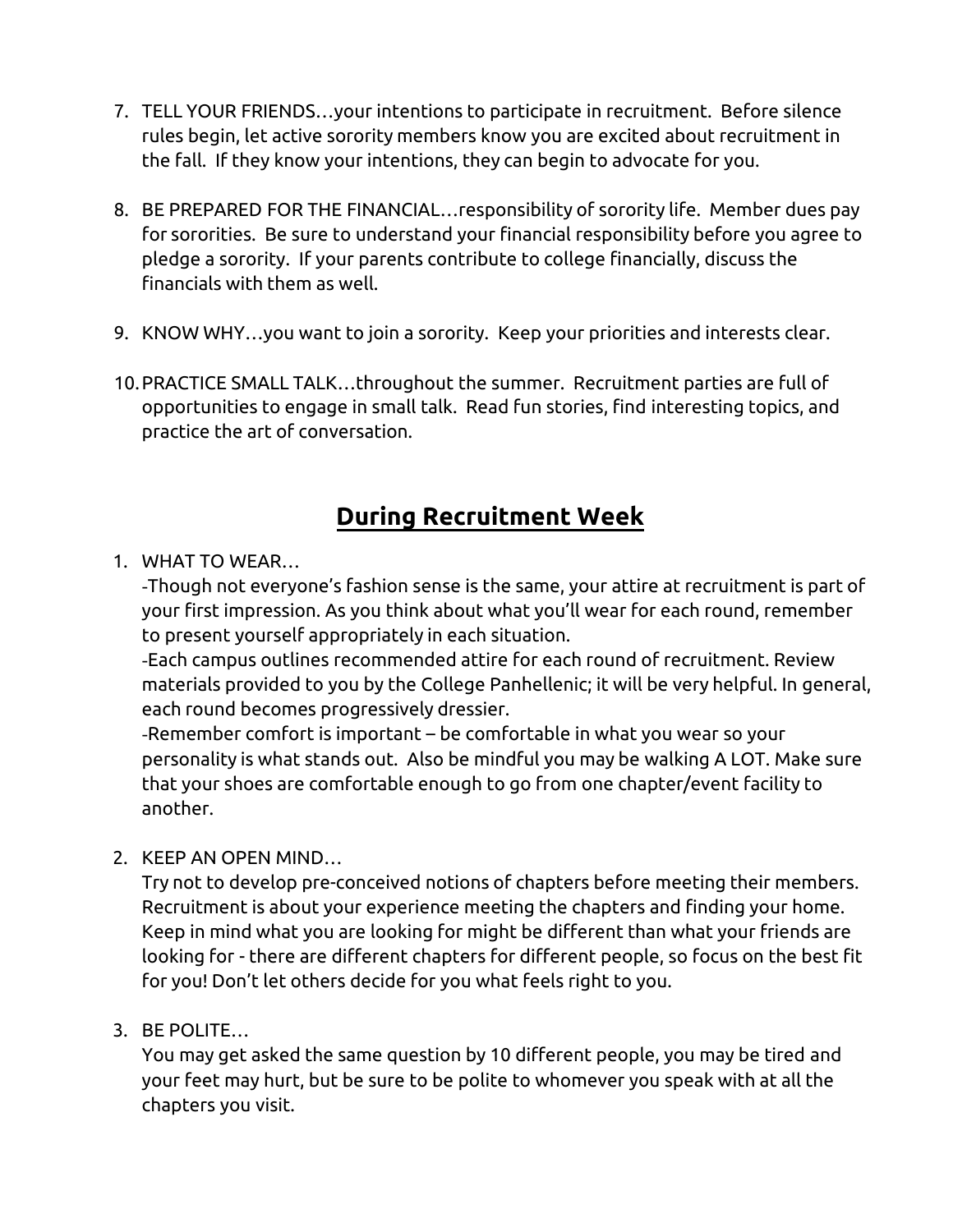- 7. TELL YOUR FRIENDS…your intentions to participate in recruitment. Before silence rules begin, let active sorority members know you are excited about recruitment in the fall. If they know your intentions, they can begin to advocate for you.
- 8. BE PREPARED FOR THE FINANCIAL…responsibility of sorority life. Member dues pay for sororities. Be sure to understand your financial responsibility before you agree to pledge a sorority. If your parents contribute to college financially, discuss the financials with them as well.
- 9. KNOW WHY…you want to join a sorority. Keep your priorities and interests clear.
- 10. PRACTICE SMALL TALK…throughout the summer. Recruitment parties are full of opportunities to engage in small talk. Read fun stories, find interesting topics, and practice the art of conversation.

# **During Recruitment Week**

## 1. WHAT TO WEAR…

-Though not everyone's fashion sense is the same, your attire at recruitment is part of your first impression. As you think about what you'll wear for each round, remember to present yourself appropriately in each situation.

-Each campus outlines recommended attire for each round of recruitment. Review materials provided to you by the College Panhellenic; it will be very helpful. In general, each round becomes progressively dressier.

-Remember comfort is important – be comfortable in what you wear so your personality is what stands out. Also be mindful you may be walking A LOT. Make sure that your shoes are comfortable enough to go from one chapter/event facility to another.

## 2. KEEP AN OPEN MIND…

Try not to develop pre-conceived notions of chapters before meeting their members. Recruitment is about your experience meeting the chapters and finding your home. Keep in mind what you are looking for might be different than what your friends are looking for - there are different chapters for different people, so focus on the best fit for you! Don't let others decide for you what feels right to you.

## 3. BE POLITE…

You may get asked the same question by 10 different people, you may be tired and your feet may hurt, but be sure to be polite to whomever you speak with at all the chapters you visit.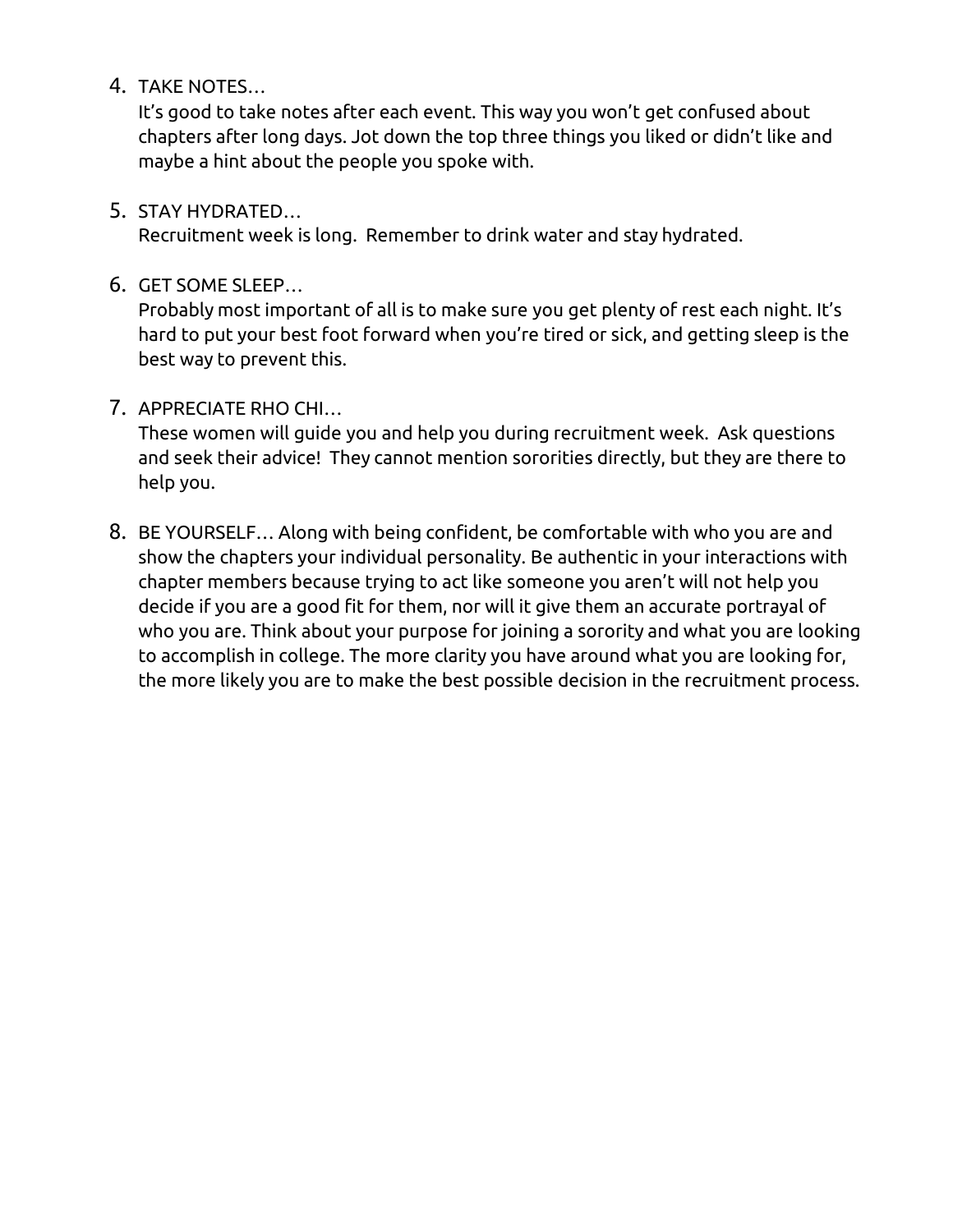4. TAKE NOTES…

It's good to take notes after each event. This way you won't get confused about chapters after long days. Jot down the top three things you liked or didn't like and maybe a hint about the people you spoke with.

5. STAY HYDRATED…

Recruitment week is long. Remember to drink water and stay hydrated.

6. GET SOME SLEEP…

Probably most important of all is to make sure you get plenty of rest each night. It's hard to put your best foot forward when you're tired or sick, and getting sleep is the best way to prevent this.

## 7. APPRECIATE RHO CHI…

These women will guide you and help you during recruitment week. Ask questions and seek their advice! They cannot mention sororities directly, but they are there to help you.

8. BE YOURSELF… Along with being confident, be comfortable with who you are and show the chapters your individual personality. Be authentic in your interactions with chapter members because trying to act like someone you aren't will not help you decide if you are a good fit for them, nor will it give them an accurate portrayal of who you are. Think about your purpose for joining a sorority and what you are looking to accomplish in college. The more clarity you have around what you are looking for, the more likely you are to make the best possible decision in the recruitment process.